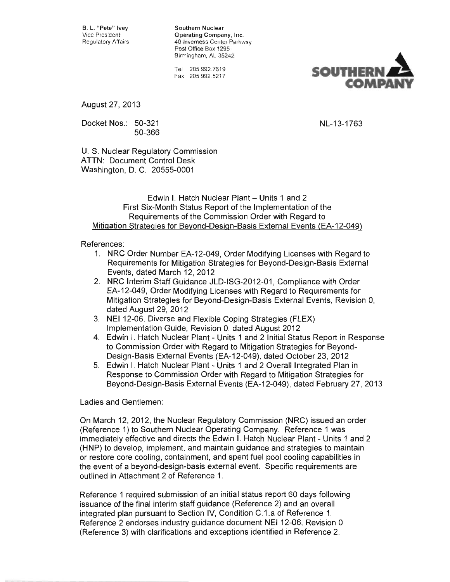B. L. "Pete" Ivey Southern Nuclear

Vice President **Company, Inc.**<br>Regulatory Affairs **Company** 40 Inverness Center Parkw Regulatory Affairs 40 Inverness Center Parkway Post Office Box 1295 Birmingham, AL 35242

> Tel 205.992.7619 Fax 205.992 .5217



August 27, 2013

Docket Nos.: 50-321 NL-13-1763 50-366

U. S. Nuclear Regulatory Commission ATTN: Document Control Desk Washington, D. C. 20555-0001

#### Edwin I. Hatch Nuclear Plant - Units 1 and 2 First Six-Month Status Report of the Implementation of the Requirements of the Commission Order with Regard to Mitigation Strategies for Beyond-Design-Basis External Events (EA-12-049)

#### References:

- 1. NRC Order Number EA-12-049, Order Modifying Licenses with Regard to Requirements for Mitigation Strategies for Beyond-Design-Basis External Events, dated March 12,2012
- 2. NRC Interim Staff Guidance JLD-ISG-2012-01, Compliance with Order EA-12-049, Order Modifying Licenses with Regard to Requirements for Mitigation Strategies for Beyond-Design-Basis External Events, Revision 0, dated August 29, 2012
- 3. NEI 12-06, Diverse and Flexible Coping Strategies (FLEX) Implementation Guide, Revision 0, dated August 2012
- 4. Edwin I. Hatch Nuclear Plant Units 1 and 2 Initial Status Report in Response to Commission Order with Regard to Mitigation Strategies for Beyond-Design-Basis External Events (EA-12-049), dated October 23, 2012
- 5. Edwin I. Hatch Nuclear Plant Units 1 and 2 Overall Integrated Plan in Response to Commission Order with Regard to Mitigation Strategies for Beyond-Design-Basis External Events (EA-12-049), dated February 27, 2013

Ladies and Gentlemen:

On March 12,2012, the Nuclear Regulatory Commission (NRC) issued an order (Reference 1) to Southern Nuclear Operating Company. Reference 1 was immediately effective and directs the Edwin I. Hatch Nuclear Plant - Units 1 and 2 (HNP) to develop, implement, and maintain guidance and strategies to maintain or restore core cooling, containment, and spent fuel pool cooling capabilities in the event of a beyond-design-basis external event. Specific requirements are outlined in Attachment 2 of Reference 1.

Reference 1 required submission of an initial status report 60 days following issuance of the final interim staff guidance (Reference 2) and an overall integrated plan pursuant to Section IV, Condition C.1.a of Reference 1. Reference 2 endorses industry guidance document NEI 12-06, Revision 0 (Reference 3) with clarifications and exceptions identified in Reference 2.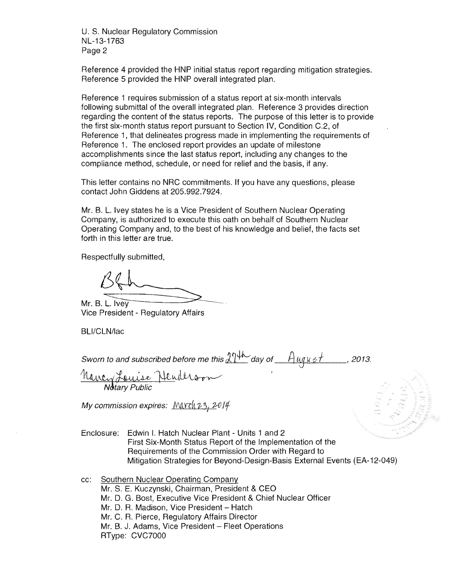U. S. Nuclear Regulatory Commission NL-13-1763 Page 2

Reference 4 provided the HNP initial status report regarding mitigation strategies. Reference 5 provided the HNP overall integrated plan.

Reference 1 requires submission of a status report at six-month intervals following submittal of the overall integrated plan. Reference 3 provides direction regarding the content of the status reports. The purpose of this letter is to provide the first six-month status report pursuant to Section IV, Condition C.2, of Reference 1, that delineates progress made in implementing the requirements of Reference 1. The enclosed report provides an update of milestone accomplishments since the last status report, including any changes to the compliance method, schedule, or need for relief and the basis, if any.

This letter contains no NRC commitments. If you have any questions, please contact John Giddens at 205.992.7924.

Mr. B. L. Ivey states he is a Vice President of Southern Nuclear Operating Company, is authorized to execute this oath on behalf of Southern Nuclear Operating Company and, to the best of his knowledge and belief, the facts set forth in this letter are true.

Respectfully submitted,

Mr. B. L. Ivey Vice President - Regulatory Affairs

BLl/CLN/lac

Sworn to and subscribed before me this  $274$  day of  $A_{uq}u$ st , 2013.

sworn to and subscribed before me inis <u>& 1.</u> **Notary Public** 

My commission expires: March 23, 2014

- Enclosure: Edwin I. Hatch Nuclear Plant Units 1 and 2 First Six-Month Status Report of the Implementation of the Requirements of the Commission Order with Regard to Mitigation Strategies for Beyond-Design-Basis External Events (EA-12-049)
- cc: Southern Nuclear Operating Company Mr. S. E. Kuczynski, Chairman, President & CEO Mr. D. G. Bost, Executive Vice President & Chief Nuclear Officer Mr. D. R. Madison, Vice President - Hatch Mr. C. R. Pierce, Regulatory Affairs Director Mr. B. J. Adams, Vice President - Fleet Operations RType: CVC7000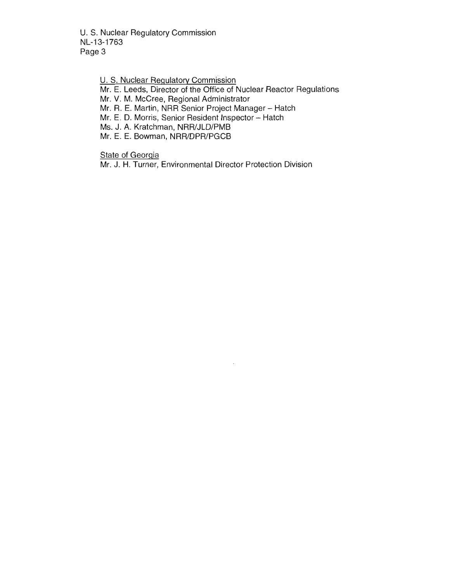U. S. Nuclear Regulatory Commission NL-13-1763 Page 3

U. S. Nuclear Regulatory Commission

Mr. E. Leeds, Director of the Office of Nuclear Reactor Regulations

Mr. V. M. McCree, Regional Administrator

Mr. R. E. Martin, NRR Senior Project Manager - Hatch

Mr. E. D. Morris, Senior Resident Inspector - Hatch

Ms. J. A. Kratchman, NRR/JLD/PMB

Mr. E. E. Bowman, NRR/DPR/PGCB

State of Georgia

Mr. J. H. Turner, Environmental Director Protection Division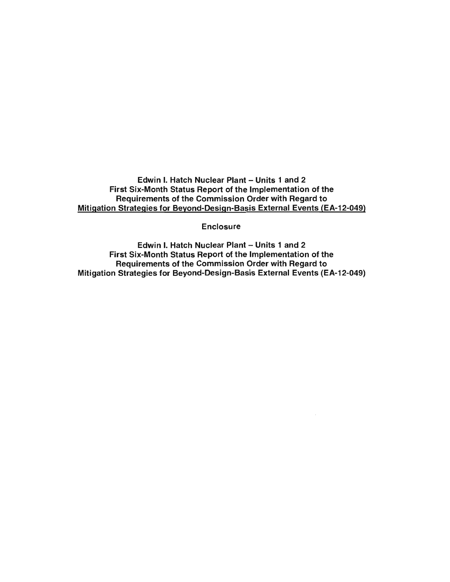Edwin I. Hatch Nuclear Plant - Units 1 and 2 First Six-Month Status Report of the Implementation of the Requirements of the Commission Order with Regard to Mitigation Strategies for Beyond-Design-Basis External Events (EA-12-049)

**Enclosure** 

Edwin I. Hatch Nuclear Plant - Units 1 and 2 First Six-Month Status Report of the Implementation of the Requirements of the Commission Order with Regard to Mitigation Strategies for Beyond-Design-Basis External Events (EA-12-049)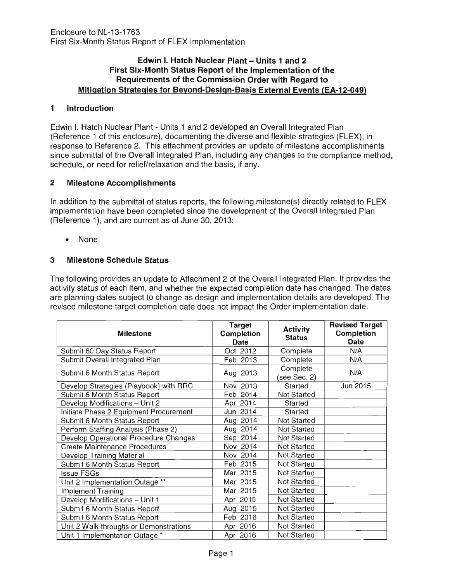#### Edwin I. Hatch Nuclear Plant – Units 1 and 2 **First Six-Month Status Report of the Implementation of the Requirements of the Commission Order with Regard to Mitigation Strategies for Beyond-Design-Basis External Events (EA-12-049)**

#### **1 Introduction**

Edwin I. Hatch Nuclear Plant - Units 1 and 2 developed an Overall Integrated Plan (Reference 1 of this enclosure), documenting the diverse and flexible strategies (FLEX), in response to Reference 2. This attachment provides an update of milestone accomplishments since submittal of the Overall Integrated Plan, including any changes to the compliance method, schedule, or need for relief/relaxation and the basis, if any.

## **2 Milestone Accomplishments**

In addition to the submittal of status reports, the following milestone(s) directly related to FLEX implementation have been completed since the development of the Overall Integrated Plan (Reference 1), and are current as of June 30, 2013:

• None

# **3 Milestone Schedule Status**

The following provides an update to Attachment 2 of the Overall Integrated Plan. It provides the activity status of each item, and whether the expected completion date has changed. The dates are planning dates subject to change as design and implementation details are developed. The revised milestone target completion date does not impact the Order implementation date.

| <b>Milestone</b>                       | <b>Target</b><br>Completion<br><b>Date</b> | <b>Activity</b><br><b>Status</b> | <b>Revised Target</b><br><b>Completion</b><br><b>Date</b> |
|----------------------------------------|--------------------------------------------|----------------------------------|-----------------------------------------------------------|
| Submit 60 Day Status Report            | Oct 2012                                   | Complete                         | N/A                                                       |
| Submit Overall Integrated Plan         | Feb 2013                                   | Complete                         | N/A                                                       |
| Submit 6 Month Status Report           | Aug 2013                                   | Complete<br>see Sec. 2)          | N/A                                                       |
| Develop Strategies (Playbook) with RRC | Nov 2013                                   | Started                          | Jun 2015                                                  |
| Submit 6 Month Status Report           | Feb 2014                                   | Not Started                      |                                                           |
| Develop Modifications - Unit 2         | Apr 2014                                   | Started                          |                                                           |
| Initiate Phase 2 Equipment Procurement | Jun 2014                                   | Started                          |                                                           |
| Submit 6 Month Status Report           | Aug 2014                                   | Not Started                      |                                                           |
| Perform Staffing Analysis (Phase 2)    | Aug 2014                                   | Not Started                      |                                                           |
| Develop Operational Procedure Changes  | Sep 2014                                   | Not Started                      |                                                           |
| <b>Create Maintenance Procedures</b>   | Nov 2014                                   | Not Started                      |                                                           |
| Develop Training Material              | Nov 2014                                   | Not Started                      |                                                           |
| Submit 6 Month Status Report           | Feb 2015                                   | Not Started                      |                                                           |
| <b>Issue FSGs</b>                      | Mar 2015                                   | Not Started                      |                                                           |
| Unit 2 Implementation Outage **        | Mar 2015                                   | Not Started                      |                                                           |
| <b>Implement Training</b>              | Mar 2015                                   | Not Started                      |                                                           |
| Develop Modifications - Unit 1         | Apr 2015                                   | Not Started                      |                                                           |
| Submit 6 Month Status Report           | Aug 2015                                   | Not Started                      |                                                           |
| Submit 6 Month Status Report           | Feb 2016                                   | Not Started                      |                                                           |
| Unit 2 Walk-throughs or Demonstrations | Apr 2016                                   | Not Started                      |                                                           |
| Unit 1 Implementation Outage *         | Apr 2016                                   | Not Started                      |                                                           |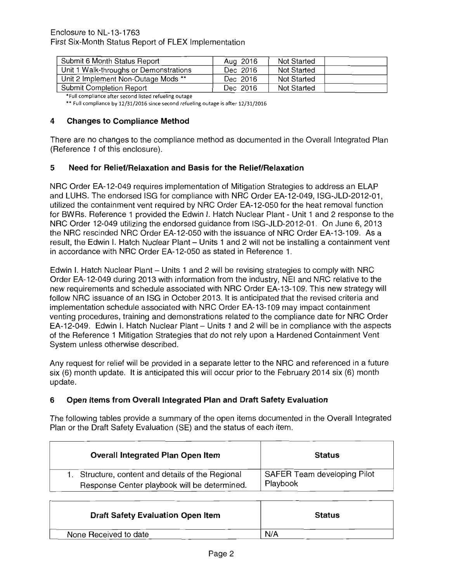| Submit 6 Month Status Report           | Aug 2016 | Not Started |  |
|----------------------------------------|----------|-------------|--|
| Unit 1 Walk-throughs or Demonstrations | Dec 2016 | Not Started |  |
| Unit 2 Implement Non-Outage Mods **    | Dec 2016 | Not Started |  |
| Submit Completion Report               | Dec 2016 | Not Started |  |

'Full compliance after second listed refueling outage

\*\* Full compliance by 12/31/2016 since second refueling outage is after 12/31/2016

#### **4 Changes to Compliance Method**

There are no changes to the compliance method as documented in the Overall Integrated Plan (Reference 1 of this enclosure).

#### **5 Need for Relief/Relaxation and Basis for the Relief/Relaxation**

NRC Order EA-12-049 requires implementation of Mitigation Strategies to address an ELAP and LUHS. The endorsed ISG for compliance with NRC Order EA-12-049, ISG-JLD-2012-01, utilized the containment vent required by NRC Order EA-12-050 for the heat removal function for BWRs. Reference 1 provided the Edwin I. Hatch Nuclear Plant - Unit 1 and 2 response to the NRC Order 12-049 utilizing the endorsed guidance from ISG-JLD-2012-01. On June 6, 2013 the NRC rescinded NRC Order EA-12-050 with the issuance of NRC Order EA-13-109. As a result, the Edwin I. Hatch Nuclear Plant - Units 1 and 2 will not be installing a containment vent in accordance with NRC Order EA-12-050 as stated in Reference 1.

Edwin I. Hatch Nuclear Plant – Units 1 and 2 will be revising strategies to comply with NRC Order EA-12-049 during 2013 with information from the industry, NEI and NRC relative to the new requirements and schedule associated with NRC Order EA-13-109. This new strategy will follow NRC issuance of an ISG in October 2013. It is anticipated that the revised criteria and implementation schedule associated with NRC Order EA-13-1 09 may impact containment venting procedures, training and demonstrations related to the compliance date for NRC Order EA-12-049. Edwin I. Hatch Nuclear Plant - Units 1 and 2 will be in compliance with the aspects of the Reference 1 Mitigation Strategies that do not rely upon a Hardened Containment Vent System unless otherwise described.

Any request for relief will be provided in a separate letter to the NRC and referenced in a future six (6) month update. It is anticipated this will occur prior to the February 2014 six (6) month update.

#### **6 Open Items from Overall Integrated Plan and Draft Safety Evaluation**

The following tables provide a summary of the open items documented in the Overall Integrated Plan or the Draft Safety Evaluation (SE) and the status of each item.

| <b>Overall Integrated Plan Open Item</b>          | <b>Status</b>               |
|---------------------------------------------------|-----------------------------|
| 1. Structure, content and details of the Regional | SAFER Team developing Pilot |
| Response Center playbook will be determined.      | Playbook                    |

| <b>Draft Safety Evaluation Open Item</b> | <b>Status</b> |
|------------------------------------------|---------------|
| None Received to date                    | N/A           |